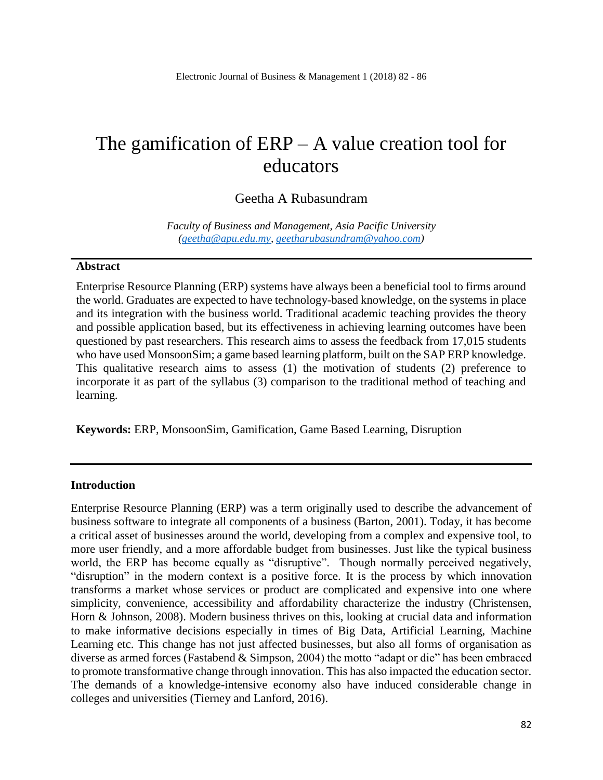# The gamification of  $ERP - A$  value creation tool for educators

## Geetha A Rubasundram

*Faculty of Business and Management, Asia Pacific University [\(geetha@apu.edu.my,](mailto:geetha@apu.edu.my) [geetharubasundram@yahoo.com\)](mailto:geetharubasundram@yahoo.com)*

#### **Abstract**

Enterprise Resource Planning (ERP) systems have always been a beneficial tool to firms around the world. Graduates are expected to have technology-based knowledge, on the systems in place and its integration with the business world. Traditional academic teaching provides the theory and possible application based, but its effectiveness in achieving learning outcomes have been questioned by past researchers. This research aims to assess the feedback from 17,015 students who have used MonsoonSim; a game based learning platform, built on the SAP ERP knowledge. This qualitative research aims to assess (1) the motivation of students (2) preference to incorporate it as part of the syllabus (3) comparison to the traditional method of teaching and learning.

**Keywords:** ERP, MonsoonSim, Gamification, Game Based Learning, Disruption

#### **Introduction**

Enterprise Resource Planning (ERP) was a term originally used to describe the advancement of business software to integrate all components of a business (Barton, 2001). Today, it has become a critical asset of businesses around the world, developing from a complex and expensive tool, to more user friendly, and a more affordable budget from businesses. Just like the typical business world, the ERP has become equally as "disruptive". Though normally perceived negatively, "disruption" in the modern context is a positive force. It is the process by which innovation transforms a market whose services or product are complicated and expensive into one where simplicity, convenience, accessibility and affordability characterize the industry (Christensen, Horn & Johnson, 2008). Modern business thrives on this, looking at crucial data and information to make informative decisions especially in times of Big Data, Artificial Learning, Machine Learning etc. This change has not just affected businesses, but also all forms of organisation as diverse as armed forces (Fastabend & Simpson, 2004) the motto "adapt or die" has been embraced to promote transformative change through innovation. This has also impacted the education sector. The demands of a knowledge-intensive economy also have induced considerable change in colleges and universities (Tierney and Lanford, 2016).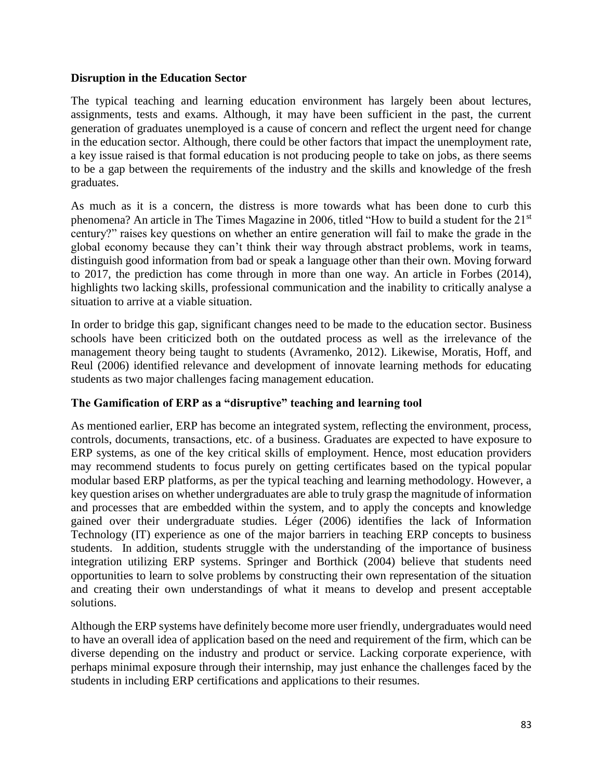## **Disruption in the Education Sector**

The typical teaching and learning education environment has largely been about lectures, assignments, tests and exams. Although, it may have been sufficient in the past, the current generation of graduates unemployed is a cause of concern and reflect the urgent need for change in the education sector. Although, there could be other factors that impact the unemployment rate, a key issue raised is that formal education is not producing people to take on jobs, as there seems to be a gap between the requirements of the industry and the skills and knowledge of the fresh graduates.

As much as it is a concern, the distress is more towards what has been done to curb this phenomena? An article in The Times Magazine in 2006, titled "How to build a student for the 21<sup>st</sup> century?" raises key questions on whether an entire generation will fail to make the grade in the global economy because they can't think their way through abstract problems, work in teams, distinguish good information from bad or speak a language other than their own. Moving forward to 2017, the prediction has come through in more than one way. An article in Forbes (2014), highlights two lacking skills, professional communication and the inability to critically analyse a situation to arrive at a viable situation.

In order to bridge this gap, significant changes need to be made to the education sector. Business schools have been criticized both on the outdated process as well as the irrelevance of the management theory being taught to students (Avramenko, 2012). Likewise, Moratis, Hoff, and Reul (2006) identified relevance and development of innovate learning methods for educating students as two major challenges facing management education.

## **The Gamification of ERP as a "disruptive" teaching and learning tool**

As mentioned earlier, ERP has become an integrated system, reflecting the environment, process, controls, documents, transactions, etc. of a business. Graduates are expected to have exposure to ERP systems, as one of the key critical skills of employment. Hence, most education providers may recommend students to focus purely on getting certificates based on the typical popular modular based ERP platforms, as per the typical teaching and learning methodology. However, a key question arises on whether undergraduates are able to truly grasp the magnitude of information and processes that are embedded within the system, and to apply the concepts and knowledge gained over their undergraduate studies. Léger (2006) identifies the lack of Information Technology (IT) experience as one of the major barriers in teaching ERP concepts to business students. In addition, students struggle with the understanding of the importance of business integration utilizing ERP systems. Springer and Borthick (2004) believe that students need opportunities to learn to solve problems by constructing their own representation of the situation and creating their own understandings of what it means to develop and present acceptable solutions.

Although the ERP systems have definitely become more user friendly, undergraduates would need to have an overall idea of application based on the need and requirement of the firm, which can be diverse depending on the industry and product or service. Lacking corporate experience, with perhaps minimal exposure through their internship, may just enhance the challenges faced by the students in including ERP certifications and applications to their resumes.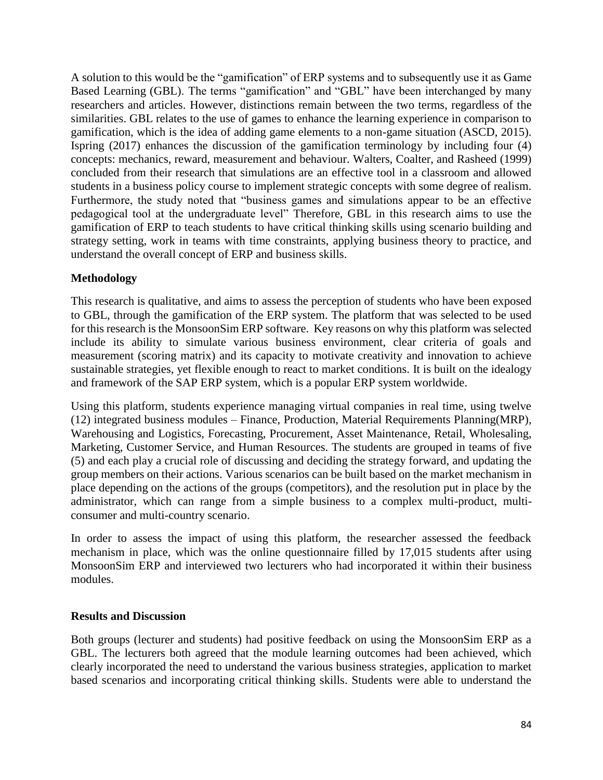A solution to this would be the "gamification" of ERP systems and to subsequently use it as Game Based Learning (GBL). The terms "gamification" and "GBL" have been interchanged by many researchers and articles. However, distinctions remain between the two terms, regardless of the similarities. GBL relates to the use of games to enhance the learning experience in comparison to gamification, which is the idea of adding game elements to a non-game situation (ASCD, 2015). Ispring (2017) enhances the discussion of the gamification terminology by including four (4) concepts: mechanics, reward, measurement and behaviour. Walters, Coalter, and Rasheed (1999) concluded from their research that simulations are an effective tool in a classroom and allowed students in a business policy course to implement strategic concepts with some degree of realism. Furthermore, the study noted that "business games and simulations appear to be an effective pedagogical tool at the undergraduate level" Therefore, GBL in this research aims to use the gamification of ERP to teach students to have critical thinking skills using scenario building and strategy setting, work in teams with time constraints, applying business theory to practice, and understand the overall concept of ERP and business skills.

# **Methodology**

This research is qualitative, and aims to assess the perception of students who have been exposed to GBL, through the gamification of the ERP system. The platform that was selected to be used for this research is the MonsoonSim ERP software. Key reasons on why this platform was selected include its ability to simulate various business environment, clear criteria of goals and measurement (scoring matrix) and its capacity to motivate creativity and innovation to achieve sustainable strategies, yet flexible enough to react to market conditions. It is built on the idealogy and framework of the SAP ERP system, which is a popular ERP system worldwide.

Using this platform, students experience managing virtual companies in real time, using twelve (12) integrated business modules – Finance, Production, Material Requirements Planning(MRP), Warehousing and Logistics, Forecasting, Procurement, Asset Maintenance, Retail, Wholesaling, Marketing, Customer Service, and Human Resources. The students are grouped in teams of five (5) and each play a crucial role of discussing and deciding the strategy forward, and updating the group members on their actions. Various scenarios can be built based on the market mechanism in place depending on the actions of the groups (competitors), and the resolution put in place by the administrator, which can range from a simple business to a complex multi-product, multiconsumer and multi-country scenario.

In order to assess the impact of using this platform, the researcher assessed the feedback mechanism in place, which was the online questionnaire filled by 17,015 students after using MonsoonSim ERP and interviewed two lecturers who had incorporated it within their business modules.

# **Results and Discussion**

Both groups (lecturer and students) had positive feedback on using the MonsoonSim ERP as a GBL. The lecturers both agreed that the module learning outcomes had been achieved, which clearly incorporated the need to understand the various business strategies, application to market based scenarios and incorporating critical thinking skills. Students were able to understand the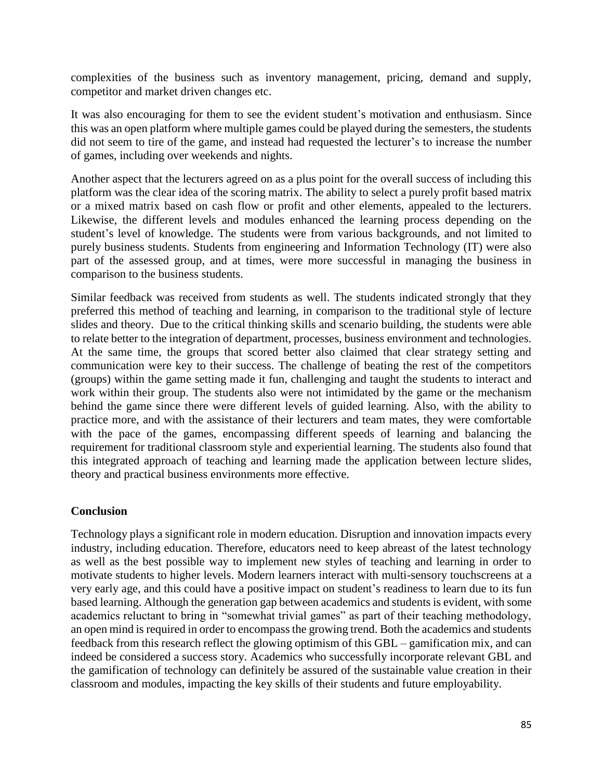complexities of the business such as inventory management, pricing, demand and supply, competitor and market driven changes etc.

It was also encouraging for them to see the evident student's motivation and enthusiasm. Since this was an open platform where multiple games could be played during the semesters, the students did not seem to tire of the game, and instead had requested the lecturer's to increase the number of games, including over weekends and nights.

Another aspect that the lecturers agreed on as a plus point for the overall success of including this platform was the clear idea of the scoring matrix. The ability to select a purely profit based matrix or a mixed matrix based on cash flow or profit and other elements, appealed to the lecturers. Likewise, the different levels and modules enhanced the learning process depending on the student's level of knowledge. The students were from various backgrounds, and not limited to purely business students. Students from engineering and Information Technology (IT) were also part of the assessed group, and at times, were more successful in managing the business in comparison to the business students.

Similar feedback was received from students as well. The students indicated strongly that they preferred this method of teaching and learning, in comparison to the traditional style of lecture slides and theory. Due to the critical thinking skills and scenario building, the students were able to relate better to the integration of department, processes, business environment and technologies. At the same time, the groups that scored better also claimed that clear strategy setting and communication were key to their success. The challenge of beating the rest of the competitors (groups) within the game setting made it fun, challenging and taught the students to interact and work within their group. The students also were not intimidated by the game or the mechanism behind the game since there were different levels of guided learning. Also, with the ability to practice more, and with the assistance of their lecturers and team mates, they were comfortable with the pace of the games, encompassing different speeds of learning and balancing the requirement for traditional classroom style and experiential learning. The students also found that this integrated approach of teaching and learning made the application between lecture slides, theory and practical business environments more effective.

## **Conclusion**

Technology plays a significant role in modern education. Disruption and innovation impacts every industry, including education. Therefore, educators need to keep abreast of the latest technology as well as the best possible way to implement new styles of teaching and learning in order to motivate students to higher levels. Modern learners interact with multi-sensory touchscreens at a very early age, and this could have a positive impact on student's readiness to learn due to its fun based learning. Although the generation gap between academics and students is evident, with some academics reluctant to bring in "somewhat trivial games" as part of their teaching methodology, an open mind is required in order to encompass the growing trend. Both the academics and students feedback from this research reflect the glowing optimism of this GBL – gamification mix, and can indeed be considered a success story. Academics who successfully incorporate relevant GBL and the gamification of technology can definitely be assured of the sustainable value creation in their classroom and modules, impacting the key skills of their students and future employability.